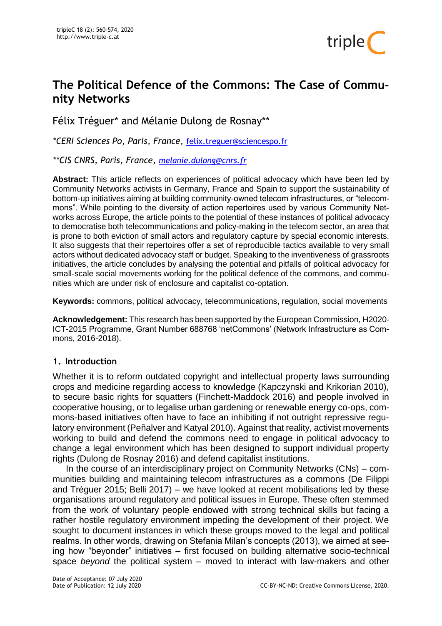

# **The Political Defence of the Commons: The Case of Community Networks**

Félix Tréguer\* and Mélanie Dulong de Rosnay\*\*

*\*CERI Sciences Po, Paris, France,* [felix.treguer@sciencespo.fr](mailto:felix.treguer@sciencespo.fr)

*\*\*CIS CNRS, Paris, France, [melanie.dulong@cnrs.fr](mailto:melanie.dulong@cnrs.fr)*

**Abstract:** This article reflects on experiences of political advocacy which have been led by Community Networks activists in Germany, France and Spain to support the sustainability of bottom-up initiatives aiming at building community-owned telecom infrastructures, or "telecommons". While pointing to the diversity of action repertoires used by various Community Networks across Europe, the article points to the potential of these instances of political advocacy to democratise both telecommunications and policy-making in the telecom sector, an area that is prone to both eviction of small actors and regulatory capture by special economic interests. It also suggests that their repertoires offer a set of reproducible tactics available to very small actors without dedicated advocacy staff or budget. Speaking to the inventiveness of grassroots initiatives, the article concludes by analysing the potential and pitfalls of political advocacy for small-scale social movements working for the political defence of the commons, and communities which are under risk of enclosure and capitalist co-optation.

**Keywords:** commons, political advocacy, telecommunications, regulation, social movements

**Acknowledgement:** This research has been supported by the European Commission, H2020- ICT-2015 Programme, Grant Number 688768 'netCommons' (Network Infrastructure as Commons, 2016-2018).

# **1. Introduction**

Whether it is to reform outdated copyright and intellectual property laws surrounding crops and medicine regarding access to knowledge (Kapczynski and Krikorian 2010), to secure basic rights for squatters (Finchett-Maddock 2016) and people involved in cooperative housing, or to legalise urban gardening or renewable energy co-ops, commons-based initiatives often have to face an inhibiting if not outright repressive regulatory environment (Peñalver and Katyal 2010). Against that reality, activist movements working to build and defend the commons need to engage in political advocacy to change a legal environment which has been designed to support individual property rights (Dulong de Rosnay 2016) and defend capitalist institutions.

In the course of an interdisciplinary project on Community Networks (CNs) – communities building and maintaining telecom infrastructures as a commons (De Filippi and Tréguer 2015; Belli 2017) – we have looked at recent mobilisations led by these organisations around regulatory and political issues in Europe. These often stemmed from the work of voluntary people endowed with strong technical skills but facing a rather hostile regulatory environment impeding the development of their project. We sought to document instances in which these groups moved to the legal and political realms. In other words, drawing on Stefania Milan's concepts (2013), we aimed at seeing how "beyonder" initiatives – first focused on building alternative socio-technical space *beyond* the political system – moved to interact with law-makers and other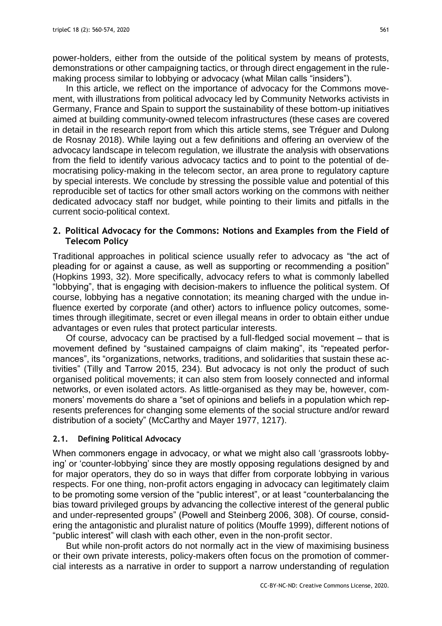power-holders, either from the outside of the political system by means of protests, demonstrations or other campaigning tactics, or through direct engagement in the rulemaking process similar to lobbying or advocacy (what Milan calls "insiders").

In this article, we reflect on the importance of advocacy for the Commons movement, with illustrations from political advocacy led by Community Networks activists in Germany, France and Spain to support the sustainability of these bottom-up initiatives aimed at building community-owned telecom infrastructures (these cases are covered in detail in the research report from which this article stems, see Tréguer and Dulong de Rosnay 2018). While laying out a few definitions and offering an overview of the advocacy landscape in telecom regulation, we illustrate the analysis with observations from the field to identify various advocacy tactics and to point to the potential of democratising policy-making in the telecom sector, an area prone to regulatory capture by special interests. We conclude by stressing the possible value and potential of this reproducible set of tactics for other small actors working on the commons with neither dedicated advocacy staff nor budget, while pointing to their limits and pitfalls in the current socio-political context.

## **2. Political Advocacy for the Commons: Notions and Examples from the Field of Telecom Policy**

Traditional approaches in political science usually refer to advocacy as "the act of pleading for or against a cause, as well as supporting or recommending a position" (Hopkins 1993, 32). More specifically, advocacy refers to what is commonly labelled "lobbying", that is engaging with decision-makers to influence the political system. Of course, lobbying has a negative connotation; its meaning charged with the undue influence exerted by corporate (and other) actors to influence policy outcomes, sometimes through illegitimate, secret or even illegal means in order to obtain either undue advantages or even rules that protect particular interests.

Of course, advocacy can be practised by a full-fledged social movement – that is movement defined by "sustained campaigns of claim making", its "repeated performances", its "organizations, networks, traditions, and solidarities that sustain these activities" (Tilly and Tarrow 2015, 234). But advocacy is not only the product of such organised political movements; it can also stem from loosely connected and informal networks, or even isolated actors. As little-organised as they may be, however, commoners' movements do share a "set of opinions and beliefs in a population which represents preferences for changing some elements of the social structure and/or reward distribution of a society" (McCarthy and Mayer 1977, 1217).

# **2.1. Defining Political Advocacy**

When commoners engage in advocacy, or what we might also call 'grassroots lobbying' or 'counter-lobbying' since they are mostly opposing regulations designed by and for major operators, they do so in ways that differ from corporate lobbying in various respects. For one thing, non-profit actors engaging in advocacy can legitimately claim to be promoting some version of the "public interest", or at least "counterbalancing the bias toward privileged groups by advancing the collective interest of the general public and under-represented groups" (Powell and Steinberg 2006, 308). Of course, considering the antagonistic and pluralist nature of politics (Mouffe 1999), different notions of "public interest" will clash with each other, even in the non-profit sector.

But while non-profit actors do not normally act in the view of maximising business or their own private interests, policy-makers often focus on the promotion of commercial interests as a narrative in order to support a narrow understanding of regulation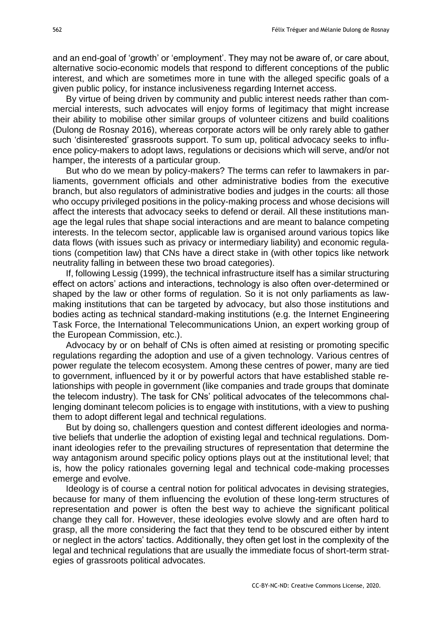and an end-goal of 'growth' or 'employment'. They may not be aware of, or care about, alternative socio-economic models that respond to different conceptions of the public interest, and which are sometimes more in tune with the alleged specific goals of a given public policy, for instance inclusiveness regarding Internet access.

By virtue of being driven by community and public interest needs rather than commercial interests, such advocates will enjoy forms of legitimacy that might increase their ability to mobilise other similar groups of volunteer citizens and build coalitions (Dulong de Rosnay 2016), whereas corporate actors will be only rarely able to gather such 'disinterested' grassroots support. To sum up, political advocacy seeks to influence policy-makers to adopt laws, regulations or decisions which will serve, and/or not hamper, the interests of a particular group.

But who do we mean by policy-makers? The terms can refer to lawmakers in parliaments, government officials and other administrative bodies from the executive branch, but also regulators of administrative bodies and judges in the courts: all those who occupy privileged positions in the policy-making process and whose decisions will affect the interests that advocacy seeks to defend or derail. All these institutions manage the legal rules that shape social interactions and are meant to balance competing interests. In the telecom sector, applicable law is organised around various topics like data flows (with issues such as privacy or intermediary liability) and economic regulations (competition law) that CNs have a direct stake in (with other topics like network neutrality falling in between these two broad categories).

If, following Lessig (1999), the technical infrastructure itself has a similar structuring effect on actors' actions and interactions, technology is also often over-determined or shaped by the law or other forms of regulation. So it is not only parliaments as lawmaking institutions that can be targeted by advocacy, but also those institutions and bodies acting as technical standard-making institutions (e.g. the Internet Engineering Task Force, the International Telecommunications Union, an expert working group of the European Commission, etc.).

Advocacy by or on behalf of CNs is often aimed at resisting or promoting specific regulations regarding the adoption and use of a given technology. Various centres of power regulate the telecom ecosystem. Among these centres of power, many are tied to government, influenced by it or by powerful actors that have established stable relationships with people in government (like companies and trade groups that dominate the telecom industry). The task for CNs' political advocates of the telecommons challenging dominant telecom policies is to engage with institutions, with a view to pushing them to adopt different legal and technical regulations.

But by doing so, challengers question and contest different ideologies and normative beliefs that underlie the adoption of existing legal and technical regulations. Dominant ideologies refer to the prevailing structures of representation that determine the way antagonism around specific policy options plays out at the institutional level; that is, how the policy rationales governing legal and technical code-making processes emerge and evolve.

Ideology is of course a central notion for political advocates in devising strategies, because for many of them influencing the evolution of these long-term structures of representation and power is often the best way to achieve the significant political change they call for. However, these ideologies evolve slowly and are often hard to grasp, all the more considering the fact that they tend to be obscured either by intent or neglect in the actors' tactics. Additionally, they often get lost in the complexity of the legal and technical regulations that are usually the immediate focus of short-term strategies of grassroots political advocates.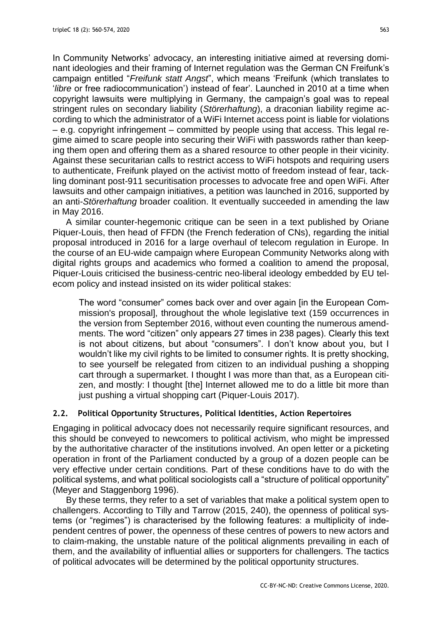In Community Networks' advocacy, an interesting initiative aimed at reversing dominant ideologies and their framing of Internet regulation was the German CN Freifunk's campaign entitled "*Freifunk statt Angst*", which means 'Freifunk (which translates to '*libre* or free radiocommunication') instead of fear'. Launched in 2010 at a time when copyright lawsuits were multiplying in Germany, the campaign's goal was to repeal stringent rules on secondary liability (*Störerhaftung*), a draconian liability regime according to which the administrator of a WiFi Internet access point is liable for violations – e.g. copyright infringement – committed by people using that access. This legal regime aimed to scare people into securing their WiFi with passwords rather than keeping them open and offering them as a shared resource to other people in their vicinity. Against these securitarian calls to restrict access to WiFi hotspots and requiring users to authenticate, Freifunk played on the activist motto of freedom instead of fear, tackling dominant post-911 securitisation processes to advocate free and open WiFi. After lawsuits and other campaign initiatives, a petition was launched in 2016, supported by an anti-*Störerhaftung* broader coalition. It eventually succeeded in amending the law in May 2016.

A similar counter-hegemonic critique can be seen in a text published by Oriane Piquer-Louis, then head of FFDN (the French federation of CNs), regarding the initial proposal introduced in 2016 for a large overhaul of telecom regulation in Europe. In the course of an EU-wide campaign where European Community Networks along with digital rights groups and academics who formed a coalition to amend the proposal, Piquer-Louis criticised the business-centric neo-liberal ideology embedded by EU telecom policy and instead insisted on its wider political stakes:

The word "consumer" comes back over and over again [in the European Commission's proposal], throughout the whole legislative text (159 occurrences in the version from September 2016, without even counting the numerous amendments. The word "citizen" only appears 27 times in 238 pages). Clearly this text is not about citizens, but about "consumers". I don't know about you, but I wouldn't like my civil rights to be limited to consumer rights. It is pretty shocking, to see yourself be relegated from citizen to an individual pushing a shopping cart through a supermarket. I thought I was more than that, as a European citizen, and mostly: I thought [the] Internet allowed me to do a little bit more than just pushing a virtual shopping cart (Piquer-Louis 2017).

## **2.2. Political Opportunity Structures, Political Identities, Action Repertoires**

Engaging in political advocacy does not necessarily require significant resources, and this should be conveyed to newcomers to political activism, who might be impressed by the authoritative character of the institutions involved. An open letter or a picketing operation in front of the Parliament conducted by a group of a dozen people can be very effective under certain conditions. Part of these conditions have to do with the political systems, and what political sociologists call a "structure of political opportunity" (Meyer and Staggenborg 1996).

By these terms, they refer to a set of variables that make a political system open to challengers. According to Tilly and Tarrow (2015, 240), the openness of political systems (or "regimes") is characterised by the following features: a multiplicity of independent centres of power, the openness of these centres of powers to new actors and to claim-making, the unstable nature of the political alignments prevailing in each of them, and the availability of influential allies or supporters for challengers. The tactics of political advocates will be determined by the political opportunity structures.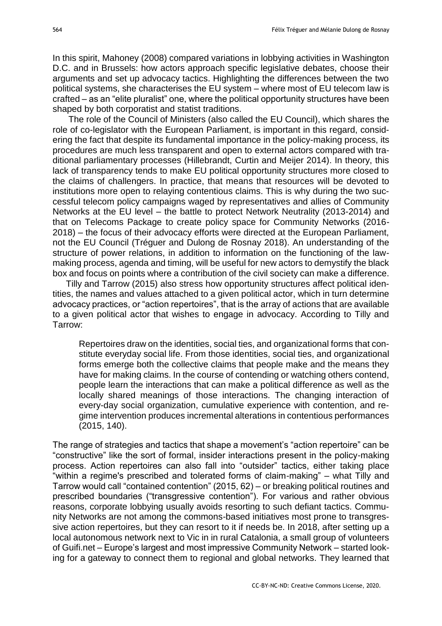In this spirit, Mahoney (2008) compared variations in lobbying activities in Washington D.C. and in Brussels: how actors approach specific legislative debates, choose their arguments and set up advocacy tactics. Highlighting the differences between the two political systems, she characterises the EU system – where most of EU telecom law is crafted – as an "elite pluralist" one, where the political opportunity structures have been shaped by both corporatist and statist traditions.

The role of the Council of Ministers (also called the EU Council), which shares the role of co-legislator with the European Parliament, is important in this regard, considering the fact that despite its fundamental importance in the policy-making process, its procedures are much less transparent and open to external actors compared with traditional parliamentary processes (Hillebrandt, Curtin and Meijer 2014). In theory, this lack of transparency tends to make EU political opportunity structures more closed to the claims of challengers. In practice, that means that resources will be devoted to institutions more open to relaying contentious claims. This is why during the two successful telecom policy campaigns waged by representatives and allies of Community Networks at the EU level – the battle to protect Network Neutrality (2013-2014) and that on Telecoms Package to create policy space for Community Networks (2016- 2018) – the focus of their advocacy efforts were directed at the European Parliament, not the EU Council (Tréguer and Dulong de Rosnay 2018). An understanding of the structure of power relations, in addition to information on the functioning of the lawmaking process, agenda and timing, will be useful for new actors to demystify the black box and focus on points where a contribution of the civil society can make a difference.

Tilly and Tarrow (2015) also stress how opportunity structures affect political identities, the names and values attached to a given political actor, which in turn determine advocacy practices, or "action repertoires", that is the array of actions that are available to a given political actor that wishes to engage in advocacy. According to Tilly and Tarrow:

Repertoires draw on the identities, social ties, and organizational forms that constitute everyday social life. From those identities, social ties, and organizational forms emerge both the collective claims that people make and the means they have for making claims. In the course of contending or watching others contend, people learn the interactions that can make a political difference as well as the locally shared meanings of those interactions. The changing interaction of every-day social organization, cumulative experience with contention, and regime intervention produces incremental alterations in contentious performances (2015, 140).

The range of strategies and tactics that shape a movement's "action repertoire" can be "constructive" like the sort of formal, insider interactions present in the policy-making process. Action repertoires can also fall into "outsider" tactics, either taking place "within a regime's prescribed and tolerated forms of claim-making" – what Tilly and Tarrow would call "contained contention" (2015, 62) – or breaking political routines and prescribed boundaries ("transgressive contention"). For various and rather obvious reasons, corporate lobbying usually avoids resorting to such defiant tactics. Community Networks are not among the commons-based initiatives most prone to transgressive action repertoires, but they can resort to it if needs be. In 2018, after setting up a local autonomous network next to Vic in in rural Catalonia, a small group of volunteers of Guifi.net – Europe's largest and most impressive Community Network – started looking for a gateway to connect them to regional and global networks. They learned that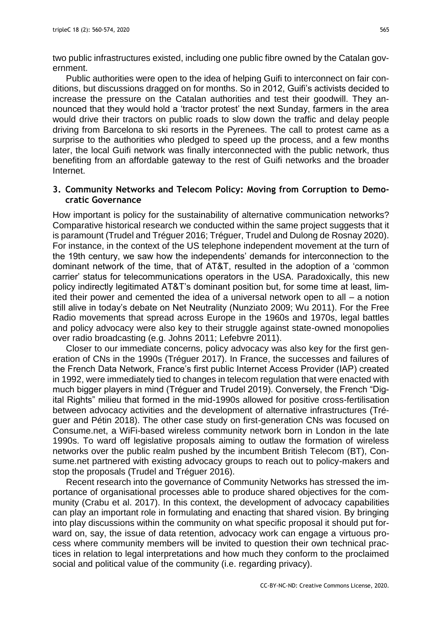two public infrastructures existed, including one public fibre owned by the Catalan government.

Public authorities were open to the idea of helping Guifi to interconnect on fair conditions, but discussions dragged on for months. So in 2012, Guifi's activists decided to increase the pressure on the Catalan authorities and test their goodwill. They announced that they would hold a 'tractor protest' the next Sunday, farmers in the area would drive their tractors on public roads to slow down the traffic and delay people driving from Barcelona to ski resorts in the Pyrenees. The call to protest came as a surprise to the authorities who pledged to speed up the process, and a few months later, the local Guifi network was finally interconnected with the public network, thus benefiting from an affordable gateway to the rest of Guifi networks and the broader Internet.

## **3. Community Networks and Telecom Policy: Moving from Corruption to Democratic Governance**

How important is policy for the sustainability of alternative communication networks? Comparative historical research we conducted within the same project suggests that it is paramount (Trudel and Tréguer 2016; Tréguer, Trudel and Dulong de Rosnay 2020). For instance, in the context of the US telephone independent movement at the turn of the 19th century, we saw how the independents' demands for interconnection to the dominant network of the time, that of AT&T, resulted in the adoption of a 'common carrier' status for telecommunications operators in the USA. Paradoxically, this new policy indirectly legitimated AT&T's dominant position but, for some time at least, limited their power and cemented the idea of a universal network open to all – a notion still alive in today's debate on Net Neutrality (Nunziato 2009; Wu 2011). For the Free Radio movements that spread across Europe in the 1960s and 1970s, legal battles and policy advocacy were also key to their struggle against state-owned monopolies over radio broadcasting (e.g. Johns 2011; Lefebvre 2011).

Closer to our immediate concerns, policy advocacy was also key for the first generation of CNs in the 1990s (Tréguer 2017). In France, the successes and failures of the French Data Network, France's first public Internet Access Provider (IAP) created in 1992, were immediately tied to changes in telecom regulation that were enacted with much bigger players in mind (Tréguer and Trudel 2019). Conversely, the French "Digital Rights" milieu that formed in the mid-1990s allowed for positive cross-fertilisation between advocacy activities and the development of alternative infrastructures (Tréguer and Pétin 2018). The other case study on first-generation CNs was focused on Consume.net, a WiFi-based wireless community network born in London in the late 1990s. To ward off legislative proposals aiming to outlaw the formation of wireless networks over the public realm pushed by the incumbent British Telecom (BT), Consume.net partnered with existing advocacy groups to reach out to policy-makers and stop the proposals (Trudel and Tréguer 2016).

Recent research into the governance of Community Networks has stressed the importance of organisational processes able to produce shared objectives for the community (Crabu et al. 2017). In this context, the development of advocacy capabilities can play an important role in formulating and enacting that shared vision. By bringing into play discussions within the community on what specific proposal it should put forward on, say, the issue of data retention, advocacy work can engage a virtuous process where community members will be invited to question their own technical practices in relation to legal interpretations and how much they conform to the proclaimed social and political value of the community (i.e. regarding privacy).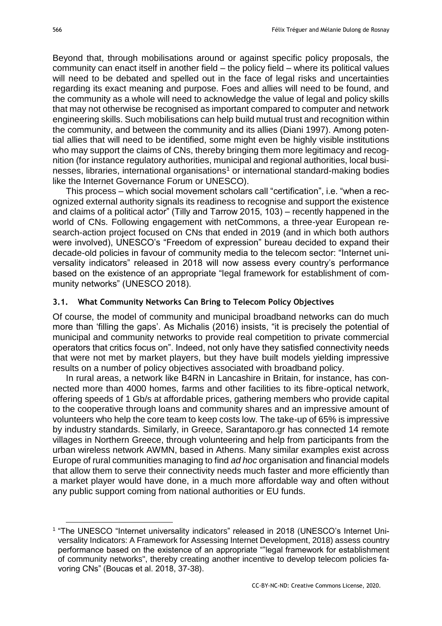Beyond that, through mobilisations around or against specific policy proposals, the community can enact itself in another field – the policy field – where its political values will need to be debated and spelled out in the face of legal risks and uncertainties regarding its exact meaning and purpose. Foes and allies will need to be found, and the community as a whole will need to acknowledge the value of legal and policy skills that may not otherwise be recognised as important compared to computer and network engineering skills. Such mobilisations can help build mutual trust and recognition within the community, and between the community and its allies (Diani 1997). Among potential allies that will need to be identified, some might even be highly visible institutions who may support the claims of CNs, thereby bringing them more legitimacy and recognition (for instance regulatory authorities, municipal and regional authorities, local businesses, libraries, international organisations<sup>1</sup> or international standard-making bodies like the Internet Governance Forum or UNESCO).

This process – which social movement scholars call "certification", i.e. "when a recognized external authority signals its readiness to recognise and support the existence and claims of a political actor" (Tilly and Tarrow 2015, 103) – recently happened in the world of CNs. Following engagement with netCommons, a three-year European research-action project focused on CNs that ended in 2019 (and in which both authors were involved), UNESCO's "Freedom of expression" bureau decided to expand their decade-old policies in favour of community media to the telecom sector: "Internet universality indicators" released in 2018 will now assess every country's performance based on the existence of an appropriate "legal framework for establishment of community networks" (UNESCO 2018).

### **3.1. What Community Networks Can Bring to Telecom Policy Objectives**

Of course, the model of community and municipal broadband networks can do much more than 'filling the gaps'. As Michalis (2016) insists, "it is precisely the potential of municipal and community networks to provide real competition to private commercial operators that critics focus on". Indeed, not only have they satisfied connectivity needs that were not met by market players, but they have built models yielding impressive results on a number of policy objectives associated with broadband policy.

In rural areas, a network like B4RN in Lancashire in Britain, for instance, has connected more than 4000 homes, farms and other facilities to its fibre-optical network, offering speeds of 1 Gb/s at affordable prices, gathering members who provide capital to the cooperative through loans and community shares and an impressive amount of volunteers who help the core team to keep costs low. The take-up of 65% is impressive by industry standards. Similarly, in Greece, Sarantaporo.gr has connected 14 remote villages in Northern Greece, through volunteering and help from participants from the urban wireless network AWMN, based in Athens. Many similar examples exist across Europe of rural communities managing to find *ad hoc* organisation and financial models that allow them to serve their connectivity needs much faster and more efficiently than a market player would have done, in a much more affordable way and often without any public support coming from national authorities or EU funds.

<u>.</u>

<sup>&</sup>lt;sup>1</sup> "The UNESCO "Internet universality indicators" released in 2018 (UNESCO's Internet Universality Indicators: A Framework for Assessing Internet Development, 2018) assess country performance based on the existence of an appropriate ""legal framework for establishment of community networks", thereby creating another incentive to develop telecom policies favoring CNs" (Boucas et al. 2018, 37-38).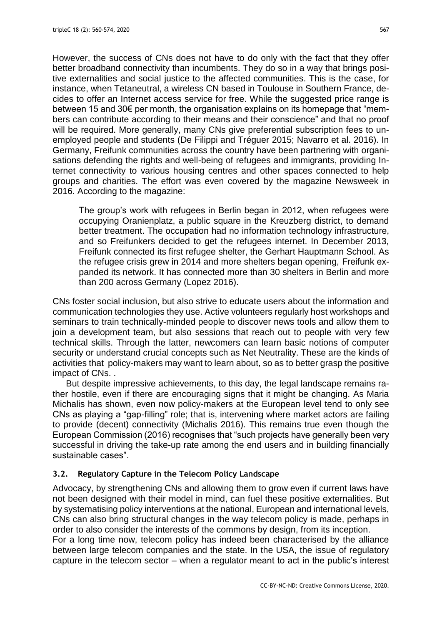However, the success of CNs does not have to do only with the fact that they offer better broadband connectivity than incumbents. They do so in a way that brings positive externalities and social justice to the affected communities. This is the case, for instance, when Tetaneutral, a wireless CN based in Toulouse in Southern France, decides to offer an Internet access service for free. While the suggested price range is between 15 and 30€ per month, the organisation explains on its homepage that "members can contribute according to their means and their conscience" and that no proof will be required. More generally, many CNs give preferential subscription fees to unemployed people and students (De Filippi and Tréguer 2015; Navarro et al. 2016). In Germany, Freifunk communities across the country have been partnering with organisations defending the rights and well-being of refugees and immigrants, providing Internet connectivity to various housing centres and other spaces connected to help groups and charities. The effort was even covered by the magazine Newsweek in 2016. According to the magazine:

The group's work with refugees in Berlin began in 2012, when refugees were occupying Oranienplatz, a public square in the Kreuzberg district, to demand better treatment. The occupation had no information technology infrastructure, and so Freifunkers decided to get the refugees internet. In December 2013, Freifunk connected its first refugee shelter, the Gerhart Hauptmann School. As the refugee crisis grew in 2014 and more shelters began opening, Freifunk expanded its network. It has connected more than 30 shelters in Berlin and more than 200 across Germany (Lopez 2016).

CNs foster social inclusion, but also strive to educate users about the information and communication technologies they use. Active volunteers regularly host workshops and seminars to train technically-minded people to discover news tools and allow them to join a development team, but also sessions that reach out to people with very few technical skills. Through the latter, newcomers can learn basic notions of computer security or understand crucial concepts such as Net Neutrality. These are the kinds of activities that policy-makers may want to learn about, so as to better grasp the positive impact of CNs. .

But despite impressive achievements, to this day, the legal landscape remains rather hostile, even if there are encouraging signs that it might be changing. As Maria Michalis has shown, even now policy-makers at the European level tend to only see CNs as playing a "gap-filling" role; that is, intervening where market actors are failing to provide (decent) connectivity (Michalis 2016). This remains true even though the European Commission (2016) recognises that "such projects have generally been very successful in driving the take-up rate among the end users and in building financially sustainable cases".

## **3.2. Regulatory Capture in the Telecom Policy Landscape**

Advocacy, by strengthening CNs and allowing them to grow even if current laws have not been designed with their model in mind, can fuel these positive externalities. But by systematising policy interventions at the national, European and international levels, CNs can also bring structural changes in the way telecom policy is made, perhaps in order to also consider the interests of the commons by design, from its inception.

For a long time now, telecom policy has indeed been characterised by the alliance between large telecom companies and the state. In the USA, the issue of regulatory capture in the telecom sector – when a regulator meant to act in the public's interest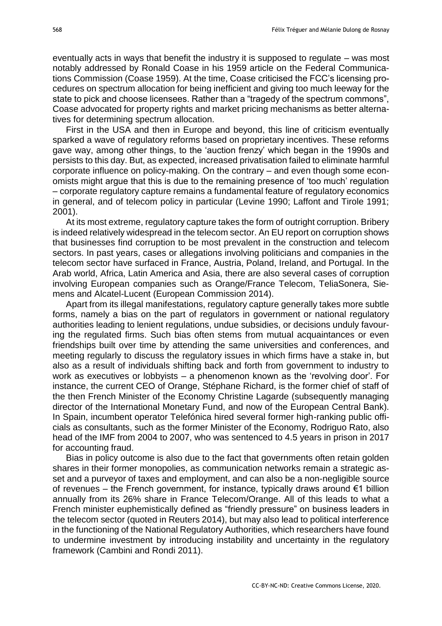eventually acts in ways that benefit the industry it is supposed to regulate – was most notably addressed by Ronald Coase in his 1959 article on the Federal Communications Commission (Coase 1959). At the time, Coase criticised the FCC's licensing procedures on spectrum allocation for being inefficient and giving too much leeway for the state to pick and choose licensees. Rather than a "tragedy of the spectrum commons", Coase advocated for property rights and market pricing mechanisms as better alternatives for determining spectrum allocation.

First in the USA and then in Europe and beyond, this line of criticism eventually sparked a wave of regulatory reforms based on proprietary incentives. These reforms gave way, among other things, to the 'auction frenzy' which began in the 1990s and persists to this day. But, as expected, increased privatisation failed to eliminate harmful corporate influence on policy-making. On the contrary – and even though some economists might argue that this is due to the remaining presence of 'too much' regulation – corporate regulatory capture remains a fundamental feature of regulatory economics in general, and of telecom policy in particular (Levine 1990; Laffont and Tirole 1991; 2001).

At its most extreme, regulatory capture takes the form of outright corruption. Bribery is indeed relatively widespread in the telecom sector. An EU report on corruption shows that businesses find corruption to be most prevalent in the construction and telecom sectors. In past years, cases or allegations involving politicians and companies in the telecom sector have surfaced in France, Austria, Poland, Ireland, and Portugal. In the Arab world, Africa, Latin America and Asia, there are also several cases of corruption involving European companies such as Orange/France Telecom, TeliaSonera, Siemens and Alcatel-Lucent (European Commission 2014).

Apart from its illegal manifestations, regulatory capture generally takes more subtle forms, namely a bias on the part of regulators in government or national regulatory authorities leading to lenient regulations, undue subsidies, or decisions unduly favouring the regulated firms. Such bias often stems from mutual acquaintances or even friendships built over time by attending the same universities and conferences, and meeting regularly to discuss the regulatory issues in which firms have a stake in, but also as a result of individuals shifting back and forth from government to industry to work as executives or lobbyists – a phenomenon known as the 'revolving door'. For instance, the current CEO of Orange, Stéphane Richard, is the former chief of staff of the then French Minister of the Economy Christine Lagarde (subsequently managing director of the International Monetary Fund, and now of the European Central Bank). In Spain, incumbent operator Telefónica hired several former high-ranking public officials as consultants, such as the former Minister of the Economy, Rodriguo Rato, also head of the IMF from 2004 to 2007, who was sentenced to 4.5 years in prison in 2017 for accounting fraud.

Bias in policy outcome is also due to the fact that governments often retain golden shares in their former monopolies, as communication networks remain a strategic asset and a purveyor of taxes and employment, and can also be a non-negligible source of revenues – the French government, for instance, typically draws around €1 billion annually from its 26% share in France Telecom/Orange. All of this leads to what a French minister euphemistically defined as "friendly pressure" on business leaders in the telecom sector (quoted in Reuters 2014), but may also lead to political interference in the functioning of the National Regulatory Authorities, which researchers have found to undermine investment by introducing instability and uncertainty in the regulatory framework (Cambini and Rondi 2011).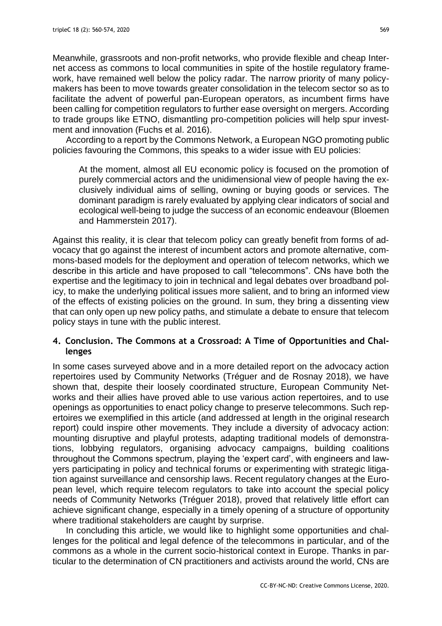Meanwhile, grassroots and non-profit networks, who provide flexible and cheap Internet access as commons to local communities in spite of the hostile regulatory framework, have remained well below the policy radar. The narrow priority of many policymakers has been to move towards greater consolidation in the telecom sector so as to facilitate the advent of powerful pan-European operators, as incumbent firms have been calling for competition regulators to further ease oversight on mergers. According to trade groups like ETNO, dismantling pro-competition policies will help spur investment and innovation (Fuchs et al. 2016).

According to a report by the Commons Network, a European NGO promoting public policies favouring the Commons, this speaks to a wider issue with EU policies:

At the moment, almost all EU economic policy is focused on the promotion of purely commercial actors and the unidimensional view of people having the exclusively individual aims of selling, owning or buying goods or services. The dominant paradigm is rarely evaluated by applying clear indicators of social and ecological well-being to judge the success of an economic endeavour (Bloemen and Hammerstein 2017).

Against this reality, it is clear that telecom policy can greatly benefit from forms of advocacy that go against the interest of incumbent actors and promote alternative, commons-based models for the deployment and operation of telecom networks, which we describe in this article and have proposed to call "telecommons". CNs have both the expertise and the legitimacy to join in technical and legal debates over broadband policy, to make the underlying political issues more salient, and to bring an informed view of the effects of existing policies on the ground. In sum, they bring a dissenting view that can only open up new policy paths, and stimulate a debate to ensure that telecom policy stays in tune with the public interest.

# **4. Conclusion. The Commons at a Crossroad: A Time of Opportunities and Challenges**

In some cases surveyed above and in a more detailed report on the advocacy action repertoires used by Community Networks (Tréguer and de Rosnay 2018), we have shown that, despite their loosely coordinated structure, European Community Networks and their allies have proved able to use various action repertoires, and to use openings as opportunities to enact policy change to preserve telecommons. Such repertoires we exemplified in this article (and addressed at length in the original research report) could inspire other movements. They include a diversity of advocacy action: mounting disruptive and playful protests, adapting traditional models of demonstrations, lobbying regulators, organising advocacy campaigns, building coalitions throughout the Commons spectrum, playing the 'expert card', with engineers and lawyers participating in policy and technical forums or experimenting with strategic litigation against surveillance and censorship laws. Recent regulatory changes at the European level, which require telecom regulators to take into account the special policy needs of Community Networks (Tréguer 2018), proved that relatively little effort can achieve significant change, especially in a timely opening of a structure of opportunity where traditional stakeholders are caught by surprise.

In concluding this article, we would like to highlight some opportunities and challenges for the political and legal defence of the telecommons in particular, and of the commons as a whole in the current socio-historical context in Europe. Thanks in particular to the determination of CN practitioners and activists around the world, CNs are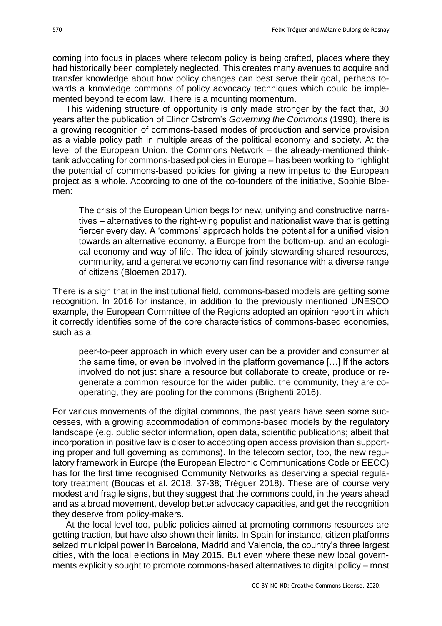coming into focus in places where telecom policy is being crafted, places where they had historically been completely neglected. This creates many avenues to acquire and transfer knowledge about how policy changes can best serve their goal, perhaps towards a knowledge commons of policy advocacy techniques which could be implemented beyond telecom law. There is a mounting momentum.

This widening structure of opportunity is only made stronger by the fact that, 30 years after the publication of Elinor Ostrom's *Governing the Commons* (1990), there is a growing recognition of commons-based modes of production and service provision as a viable policy path in multiple areas of the political economy and society. At the level of the European Union, the Commons Network – the already-mentioned thinktank advocating for commons-based policies in Europe – has been working to highlight the potential of commons-based policies for giving a new impetus to the European project as a whole. According to one of the co-founders of the initiative, Sophie Bloemen:

The crisis of the European Union begs for new, unifying and constructive narratives – alternatives to the right-wing populist and nationalist wave that is getting fiercer every day. A 'commons' approach holds the potential for a unified vision towards an alternative economy, a Europe from the bottom-up, and an ecological economy and way of life. The idea of jointly stewarding shared resources, community, and a generative economy can find resonance with a diverse range of citizens (Bloemen 2017).

There is a sign that in the institutional field, commons-based models are getting some recognition. In 2016 for instance, in addition to the previously mentioned UNESCO example, the European Committee of the Regions adopted an opinion report in which it correctly identifies some of the core characteristics of commons-based economies, such as a:

peer-to-peer approach in which every user can be a provider and consumer at the same time, or even be involved in the platform governance […] If the actors involved do not just share a resource but collaborate to create, produce or regenerate a common resource for the wider public, the community, they are cooperating, they are pooling for the commons (Brighenti 2016).

For various movements of the digital commons, the past years have seen some successes, with a growing accommodation of commons-based models by the regulatory landscape (e.g. public sector information, open data, scientific publications; albeit that incorporation in positive law is closer to accepting open access provision than supporting proper and full governing as commons). In the telecom sector, too, the new regulatory framework in Europe (the European Electronic Communications Code or EECC) has for the first time recognised Community Networks as deserving a special regulatory treatment (Boucas et al. 2018, 37-38; Tréguer 2018). These are of course very modest and fragile signs, but they suggest that the commons could, in the years ahead and as a broad movement, develop better advocacy capacities, and get the recognition they deserve from policy-makers.

At the local level too, public policies aimed at promoting commons resources are getting traction, but have also shown their limits. In Spain for instance, citizen platforms seized municipal power in Barcelona, Madrid and Valencia, the country's three largest cities, with the local elections in May 2015. But even where these new local governments explicitly sought to promote commons-based alternatives to digital policy – most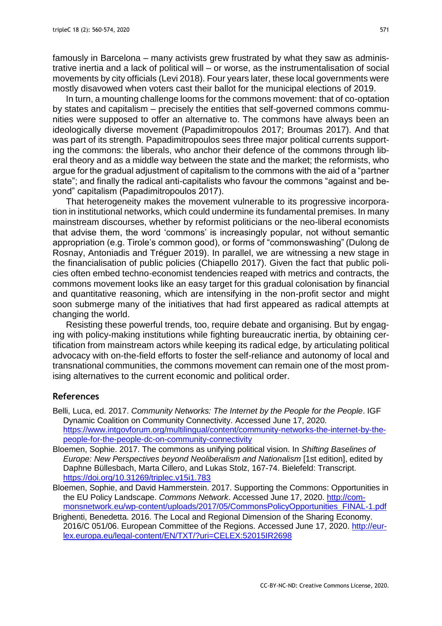famously in Barcelona – many activists grew frustrated by what they saw as administrative inertia and a lack of political will – or worse, as the instrumentalisation of social movements by city officials (Levi 2018). Four years later, these local governments were mostly disavowed when voters cast their ballot for the municipal elections of 2019.

In turn, a mounting challenge looms for the commons movement: that of co-optation by states and capitalism – precisely the entities that self-governed commons communities were supposed to offer an alternative to. The commons have always been an ideologically diverse movement (Papadimitropoulos 2017; Broumas 2017). And that was part of its strength. Papadimitropoulos sees three major political currents supporting the commons: the liberals, who anchor their defence of the commons through liberal theory and as a middle way between the state and the market; the reformists, who argue for the gradual adjustment of capitalism to the commons with the aid of a "partner state"; and finally the radical anti-capitalists who favour the commons "against and beyond" capitalism (Papadimitropoulos 2017).

That heterogeneity makes the movement vulnerable to its progressive incorporation in institutional networks, which could undermine its fundamental premises. In many mainstream discourses, whether by reformist politicians or the neo-liberal economists that advise them, the word 'commons' is increasingly popular, not without semantic appropriation (e.g. Tirole's common good), or forms of "commonswashing" (Dulong de Rosnay, Antoniadis and Tréguer 2019). In parallel, we are witnessing a new stage in the financialisation of public policies (Chiapello 2017). Given the fact that public policies often embed techno-economist tendencies reaped with metrics and contracts, the commons movement looks like an easy target for this gradual colonisation by financial and quantitative reasoning, which are intensifying in the non-profit sector and might soon submerge many of the initiatives that had first appeared as radical attempts at changing the world.

Resisting these powerful trends, too, require debate and organising. But by engaging with policy-making institutions while fighting bureaucratic inertia, by obtaining certification from mainstream actors while keeping its radical edge, by articulating political advocacy with on-the-field efforts to foster the self-reliance and autonomy of local and transnational communities, the commons movement can remain one of the most promising alternatives to the current economic and political order.

### **References**

- Belli, Luca, ed. 2017. *Community Networks: The Internet by the People for the People*. IGF Dynamic Coalition on Community Connectivity. Accessed June 17, 2020. [https://www.intgovforum.org/multilingual/content/community-networks-the-internet-by-the](https://www.intgovforum.org/multilingual/content/community-networks-the-internet-by-the-people-for-the-people-dc-on-community-connectivity)[people-for-the-people-dc-on-community-connectivity](https://www.intgovforum.org/multilingual/content/community-networks-the-internet-by-the-people-for-the-people-dc-on-community-connectivity)
- Bloemen, Sophie. 2017. The commons as unifying political vision. In *Shifting Baselines of Europe: New Perspectives beyond Neoliberalism and Nationalism* [1st edition], edited by Daphne Büllesbach, Marta Cillero, and Lukas Stolz, 167-74. Bielefeld: Transcript. <https://doi.org/10.31269/triplec.v15i1.783>
- Bloemen, Sophie, and David Hammerstein. 2017. Supporting the Commons: Opportunities in the EU Policy Landscape. *Commons Network*. Accessed June 17, 2020. [http://com](http://commonsnetwork.eu/wp-content/uploads/2017/05/CommonsPolicyOpportunities_FINAL-1.pdf)[monsnetwork.eu/wp-content/uploads/2017/05/CommonsPolicyOpportunities\\_FINAL-1.pdf](http://commonsnetwork.eu/wp-content/uploads/2017/05/CommonsPolicyOpportunities_FINAL-1.pdf)
- Brighenti, Benedetta. 2016. The Local and Regional Dimension of the Sharing Economy. 2016/C 051/06. European Committee of the Regions. Accessed June 17, 2020. [http://eur](http://eur-lex.europa.eu/legal-content/EN/TXT/?uri=CELEX:52015IR2698)[lex.europa.eu/legal-content/EN/TXT/?uri=CELEX:52015IR2698](http://eur-lex.europa.eu/legal-content/EN/TXT/?uri=CELEX:52015IR2698)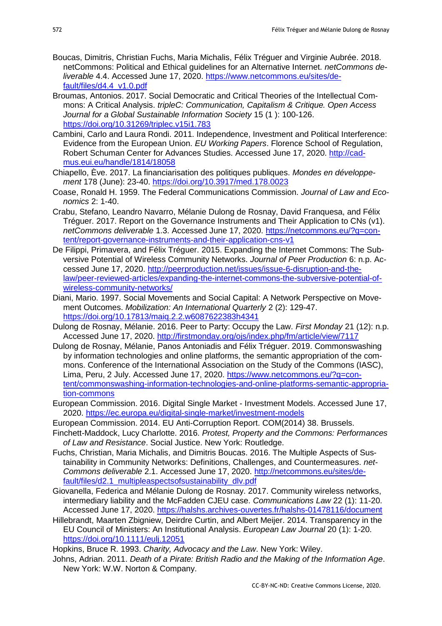- Boucas, Dimitris, Christian Fuchs, Maria Michalis, Félix Tréguer and Virginie Aubrée. 2018. netCommons: Political and Ethical guidelines for an Alternative Internet. *netCommons deliverable* 4.4. Accessed June 17, 2020. [https://www.netcommons.eu/sites/de](https://www.netcommons.eu/sites/default/files/d4.4_v1.0.pdf)[fault/files/d4.4\\_v1.0.pdf](https://www.netcommons.eu/sites/default/files/d4.4_v1.0.pdf)
- Broumas, Antonios. 2017. Social Democratic and Critical Theories of the Intellectual Commons: A Critical Analysis. *tripleC: Communication, Capitalism & Critique. Open Access Journal for a Global Sustainable Information Society* 15 (1 ): 100-126. <https://doi.org/10.31269/triplec.v15i1.783>
- Cambini, Carlo and Laura Rondi. 2011. Independence, Investment and Political Interference: Evidence from the European Union. *EU Working Papers*. Florence School of Regulation, Robert Schuman Center for Advances Studies. Accessed June 17, 2020. [http://cad](http://cadmus.eui.eu/handle/1814/18058)[mus.eui.eu/handle/1814/18058](http://cadmus.eui.eu/handle/1814/18058)
- Chiapello, Ève. 2017. La financiarisation des politiques publiques. *Mondes en développement* 178 (June): 23-40.<https://doi.org/10.3917/med.178.0023>
- Coase, Ronald H. 1959. The Federal Communications Commission. *Journal of Law and Economics* 2: 1-40.
- Crabu, Stefano, Leandro Navarro, Mélanie Dulong de Rosnay, David Franquesa, and Félix Tréguer. 2017. Report on the Governance Instruments and Their Application to CNs (v1). *netCommons deliverable* 1.3. Accessed June 17, 2020. [https://netcommons.eu/?q=con](https://netcommons.eu/?q=content/report-governance-instruments-and-their-application-cns-v1)[tent/report-governance-instruments-and-their-application-cns-v1](https://netcommons.eu/?q=content/report-governance-instruments-and-their-application-cns-v1)
- De Filippi, Primavera, and Félix Tréguer. 2015. Expanding the Internet Commons: The Subversive Potential of Wireless Community Networks. *Journal of Peer Production* 6: n.p. Accessed June 17, 2020. [http://peerproduction.net/issues/issue-6-disruption-and-the](http://peerproduction.net/issues/issue-6-disruption-and-the-law/peer-reviewed-articles/expanding-the-internet-commons-the-subversive-potential-of-wireless-community-networks/)[law/peer-reviewed-articles/expanding-the-internet-commons-the-subversive-potential-of](http://peerproduction.net/issues/issue-6-disruption-and-the-law/peer-reviewed-articles/expanding-the-internet-commons-the-subversive-potential-of-wireless-community-networks/)[wireless-community-networks/](http://peerproduction.net/issues/issue-6-disruption-and-the-law/peer-reviewed-articles/expanding-the-internet-commons-the-subversive-potential-of-wireless-community-networks/)
- Diani, Mario. 1997. Social Movements and Social Capital: A Network Perspective on Movement Outcomes. *Mobilization: An International Quarterly* 2 (2): 129-47. <https://doi.org/10.17813/maiq.2.2.w6087622383h4341>
- Dulong de Rosnay, Mélanie. 2016. Peer to Party: Occupy the Law. *First Monday* 21 (12): n.p. Accessed June 17, 2020.<http://firstmonday.org/ojs/index.php/fm/article/view/7117>
- Dulong de Rosnay, Mélanie, Panos Antoniadis and Félix Tréguer. 2019. Commonswashing by information technologies and online platforms, the semantic appropriation of the commons. Conference of the International Association on the Study of the Commons (IASC), Lima, Peru, 2 July. Accessed June 17, 2020. [https://www.netcommons.eu/?q=con](https://www.netcommons.eu/?q=content/commonswashing-information-technologies-and-online-platforms-semantic-appropriation-commons)[tent/commonswashing-information-technologies-and-online-platforms-semantic-appropria](https://www.netcommons.eu/?q=content/commonswashing-information-technologies-and-online-platforms-semantic-appropriation-commons)[tion-commons](https://www.netcommons.eu/?q=content/commonswashing-information-technologies-and-online-platforms-semantic-appropriation-commons)
- European Commission. 2016. Digital Single Market Investment Models. Accessed June 17, 2020. <https://ec.europa.eu/digital-single-market/investment-models>
- European Commission. 2014. EU Anti-Corruption Report. COM(2014) 38. Brussels.
- Finchett-Maddock, Lucy Charlotte. 2016. *Protest, Property and the Commons: Performances of Law and Resistance*. Social Justice. New York: Routledge.
- Fuchs, Christian, Maria Michalis, and Dimitris Boucas. 2016. The Multiple Aspects of Sustainability in Community Networks: Definitions, Challenges, and Countermeasures. *net-Commons deliverable* 2.1. Accessed June 17, 2020. [http://netcommons.eu/sites/de](http://netcommons.eu/sites/default/files/d2.1_multipleaspectsofsustainability_dlv.pdf)[fault/files/d2.1\\_multipleaspectsofsustainability\\_dlv.pdf](http://netcommons.eu/sites/default/files/d2.1_multipleaspectsofsustainability_dlv.pdf)
- Giovanella, Federica and Mélanie Dulong de Rosnay. 2017. Community wireless networks, intermediary liability and the McFadden CJEU case. *Communications Law* 22 (1): 11-20. Accessed June 17, 2020.<https://halshs.archives-ouvertes.fr/halshs-01478116/document>
- Hillebrandt, Maarten Zbigniew, Deirdre Curtin, and Albert Meijer. 2014. Transparency in the EU Council of Ministers: An Institutional Analysis. *European Law Journal* 20 (1): 1-20. <https://doi.org/10.1111/eulj.12051>

Hopkins, Bruce R. 1993. *Charity, Advocacy and the Law*. New York: Wiley.

Johns, Adrian. 2011. *Death of a Pirate: British Radio and the Making of the Information Age*. New York: W.W. Norton & Company.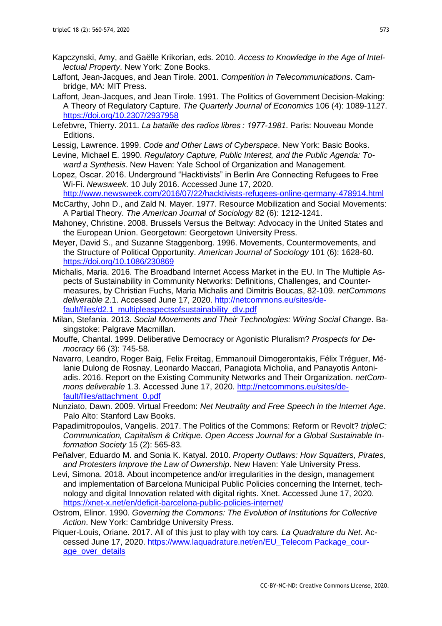- Kapczynski, Amy, and Gaëlle Krikorian, eds. 2010. *Access to Knowledge in the Age of Intellectual Property*. New York: Zone Books.
- Laffont, Jean-Jacques, and Jean Tirole. 2001. *Competition in Telecommunications*. Cambridge, MA: MIT Press.
- Laffont, Jean-Jacques, and Jean Tirole. 1991. The Politics of Government Decision-Making: A Theory of Regulatory Capture. *The Quarterly Journal of Economics* 106 (4): 1089-1127. <https://doi.org/10.2307/2937958>
- Lefebvre, Thierry. 2011. *La bataille des radios libres : 1977-1981*. Paris: Nouveau Monde Editions.
- Lessig, Lawrence. 1999. *Code and Other Laws of Cyberspace*. New York: Basic Books.
- Levine, Michael E. 1990. *Regulatory Capture, Public Interest, and the Public Agenda: Toward a Synthesis*. New Haven: Yale School of Organization and Management.
- Lopez, Oscar. 2016. Underground "Hacktivists" in Berlin Are Connecting Refugees to Free Wi-Fi. *Newsweek*. 10 July 2016. Accessed June 17, 2020.
- <http://www.newsweek.com/2016/07/22/hacktivists-refugees-online-germany-478914.html>
- McCarthy, John D., and Zald N. Mayer. 1977. Resource Mobilization and Social Movements: A Partial Theory. *The American Journal of Sociology* 82 (6): 1212-1241.
- Mahoney, Christine. 2008. Brussels Versus the Beltway: Advocacy in the United States and the European Union. Georgetown: Georgetown University Press.
- Meyer, David S., and Suzanne Staggenborg. 1996. Movements, Countermovements, and the Structure of Political Opportunity. *American Journal of Sociology* 101 (6): 1628-60. <https://doi.org/10.1086/230869>
- Michalis, Maria. 2016. The Broadband Internet Access Market in the EU. In The Multiple Aspects of Sustainability in Community Networks: Definitions, Challenges, and Countermeasures, by Christian Fuchs, Maria Michalis and Dimitris Boucas, 82-109. *netCommons deliverable* 2.1. Accessed June 17, 2020. [http://netcommons.eu/sites/de](http://netcommons.eu/sites/default/files/d2.1_multipleaspectsofsustainability_dlv.pdf)[fault/files/d2.1\\_multipleaspectsofsustainability\\_dlv.pdf](http://netcommons.eu/sites/default/files/d2.1_multipleaspectsofsustainability_dlv.pdf)
- Milan, Stefania. 2013. *Social Movements and Their Technologies: Wiring Social Change*. Basingstoke: Palgrave Macmillan.
- Mouffe, Chantal. 1999. Deliberative Democracy or Agonistic Pluralism? *Prospects for Democracy* 66 (3): 745-58.
- Navarro, Leandro, Roger Baig, Felix Freitag, Emmanouil Dimogerontakis, Félix Tréguer, Mélanie Dulong de Rosnay, Leonardo Maccari, Panagiota Micholia, and Panayotis Antoniadis. 2016. Report on the Existing Community Networks and Their Organization. *netCommons deliverable* 1.3. Accessed June 17, 2020. [http://netcommons.eu/sites/de](http://netcommons.eu/sites/default/files/attachment_0.pdf)[fault/files/attachment\\_0.pdf](http://netcommons.eu/sites/default/files/attachment_0.pdf)
- Nunziato, Dawn. 2009. Virtual Freedom: *Net Neutrality and Free Speech in the Internet Age*. Palo Alto: Stanford Law Books.
- Papadimitropoulos, Vangelis. 2017. The Politics of the Commons: Reform or Revolt? *tripleC: Communication, Capitalism & Critique. Open Access Journal for a Global Sustainable Information Society* 15 (2): 565-83.
- Peñalver, Eduardo M. and Sonia K. Katyal. 2010. *Property Outlaws: How Squatters, Pirates, and Protesters Improve the Law of Ownership*. New Haven: Yale University Press.
- Levi, Simona. 2018. About incompetence and/or irregularities in the design, management and implementation of Barcelona Municipal Public Policies concerning the Internet, technology and digital Innovation related with digital rights. Xnet. Accessed June 17, 2020. <https://xnet-x.net/en/deficit-barcelona-public-policies-internet/>
- Ostrom, Elinor. 1990. *Governing the Commons: The Evolution of Institutions for Collective Action*. New York: Cambridge University Press.
- Piquer-Louis, Oriane. 2017. All of this just to play with toy cars. *La Quadrature du Net*. Accessed June 17, 2020. [https://www.laquadrature.net/en/EU\\_Telecom Package\\_cour](https://www.laquadrature.net/en/EU_Telecom%20Package_courage_over_details)[age\\_over\\_details](https://www.laquadrature.net/en/EU_Telecom%20Package_courage_over_details)